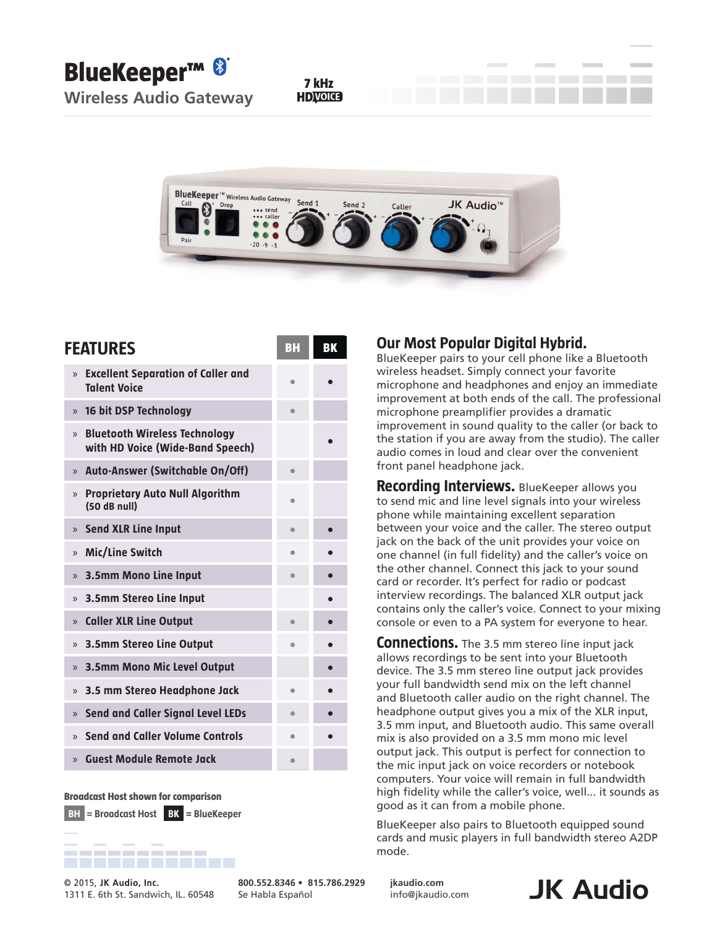**BlueKeeper™** 

**Wireless Audio Gateway**

**7 kHz**



| <b>FEATURES</b>                                                                           | BH        | BK |
|-------------------------------------------------------------------------------------------|-----------|----|
| <b>Excellent Separation of Caller and</b><br>$\mathcal{V}$<br><b>Talent Voice</b>         | $\bullet$ |    |
| 16 bit DSP Technology<br>$\mathcal{V}$                                                    | $\bullet$ |    |
| <b>Bluetooth Wireless Technology</b><br>$\mathcal{V}$<br>with HD Voice (Wide-Band Speech) |           |    |
| <b>Auto-Answer (Switchable On/Off)</b><br>$\mathcal{V}$                                   | $\bullet$ |    |
| <b>Proprietary Auto Null Algorithm</b><br>$\mathcal{V}$<br>(50 dB null)                   | ۰         |    |
| <b>Send XLR Line Input</b><br>$\mathcal{V}$                                               | ۸         |    |
| Mic/Line Switch<br>$\mathcal{V}$                                                          | ۰         |    |
| 3.5mm Mono Line Input<br>$\mathcal{V}$                                                    |           |    |
| 3.5mm Stereo Line Input<br>$\mathcal{V}$                                                  |           |    |
| <b>Caller XLR Line Output</b><br>$\mathcal{V}$                                            | $\bullet$ |    |
| <b>3.5mm Stereo Line Output</b><br>$\mathcal{V}$                                          | $\bullet$ |    |
| <b>3.5mm Mono Mic Level Output</b><br>$\mathcal{V}$                                       |           |    |
| 3.5 mm Stereo Headphone Jack<br>$\mathcal{V}$                                             | $\bullet$ |    |
| <b>Send and Caller Signal Level LEDs</b><br>$\mathcal{V}$                                 | $\bullet$ |    |
| Send and Caller Volume Controls<br>$\mathcal{V}$                                          | ۰         |    |
| <b>Guest Module Remote Jack</b><br>$\mathcal{V}$                                          | $\bullet$ |    |

**Broadcast Host shown for comparison**

**BH = Broadcast Host BK = BlueKeeper**



1311 E. 6th St. Sandwich, IL. 60548

**Community Audio, Inc.**<br>1311 E. 6th St. Sandwich, IL. 60548 Se Habla Español **Biografio, and Audio.com JK Audio 800.552.8346 • 815.786.2929** Se Habla Español

## **Our Most Popular Digital Hybrid.**

BlueKeeper pairs to your cell phone like a Bluetooth wireless headset. Simply connect your favorite microphone and headphones and enjoy an immediate improvement at both ends of the call. The professional microphone preamplifier provides a dramatic improvement in sound quality to the caller (or back to the station if you are away from the studio). The caller audio comes in loud and clear over the convenient front panel headphone jack.

**Recording Interviews.** BlueKeeper allows you to send mic and line level signals into your wireless phone while maintaining excellent separation between your voice and the caller. The stereo output jack on the back of the unit provides your voice on one channel (in full fidelity) and the caller's voice on the other channel. Connect this jack to your sound card or recorder. It's perfect for radio or podcast interview recordings. The balanced XLR output jack contains only the caller's voice. Connect to your mixing console or even to a PA system for everyone to hear.

**Connections.** The 3.5 mm stereo line input jack allows recordings to be sent into your Bluetooth device. The 3.5 mm stereo line output jack provides your full bandwidth send mix on the left channel and Bluetooth caller audio on the right channel. The headphone output gives you a mix of the XLR input, 3.5 mm input, and Bluetooth audio. This same overall mix is also provided on a 3.5 mm mono mic level output jack. This output is perfect for connection to the mic input jack on voice recorders or notebook computers. Your voice will remain in full bandwidth high fidelity while the caller's voice, well... it sounds as good as it can from a mobile phone.

BlueKeeper also pairs to Bluetooth equipped sound cards and music players in full bandwidth stereo A2DP mode.

**jkaudio.com** info@jkaudio.com